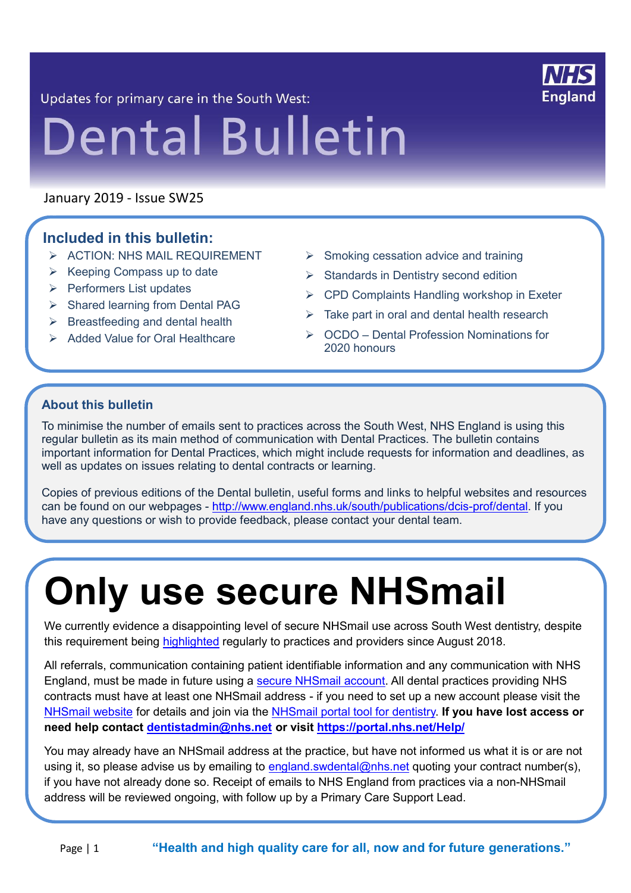

Updates for primary care in the South West:

# **Dental Bulletin**

January 2019 - Issue SW25

21

#### **Included in this bulletin:**

- ➢ ACTION: NHS MAIL REQUIREMENT
- $\triangleright$  Keeping Compass up to date
- ➢ Performers List updates
- ➢ Shared learning from Dental PAG
- $\triangleright$  Breastfeeding and dental health
- ➢ Added Value for Oral Healthcare
- ➢ Smoking cessation advice and training
- ➢ Standards in Dentistry second edition
- $\triangleright$  CPD Complaints Handling workshop in Exeter
- $\triangleright$  Take part in oral and dental health research
- ➢ OCDO Dental Profession Nominations for 2020 honours

#### **About this bulletin**

To minimise the number of emails sent to practices across the South West, NHS England is using this regular bulletin as its main method of communication with Dental Practices. The bulletin contains important information for Dental Practices, which might include requests for information and deadlines, as well as updates on issues relating to dental contracts or learning.

Copies of previous editions of the Dental bulletin, useful forms and links to helpful websites and resources can be found on our webpages - [http://www.england.nhs.uk/south/publications/dcis-prof/dental.](http://www.england.nhs.uk/south/publications/dcis-prof/dental) If you have any questions or wish to provide feedback, please contact your dental team.

## **Only use secure NHSmail**

We currently evidence a disappointing level of secure NHSmail use across South West dentistry, despite this requirement being [highlighted](https://bda.org/news-centre/blog/why-the-dental-profession-should-embrace-secure-digital-collaboration) regularly to practices and providers since August 2018.

All referrals, communication containing patient identifiable information and any communication with NHS England, must be made in future using a [secure NHSmail account.](https://portal.nhs.net/Help/joiningnhsmail) All dental practices providing NHS contracts must have at least one NHSmail address - if you need to set up a new account please visit the [NHSmail website](https://portal.nhs.net/Help/joiningnhsmail) for details and join via the [NHSmail portal tool for dentistry.](https://portal.nhs.net/Registration#/dentistry) **If you have lost access or need help contact [dentistadmin@nhs.net](mailto:dentistadmin@nhs.net) or visit<https://portal.nhs.net/Help/>**

You may already have an NHSmail address at the practice, but have not informed us what it is or are not using it, so please advise us by emailing to [england.swdental@nhs.net](mailto:england.swdental@nhs.net) quoting your contract number(s), if you have not already done so. Receipt of emails to NHS England from practices via a non-NHSmail address will be reviewed ongoing, with follow up by a Primary Care Support Lead.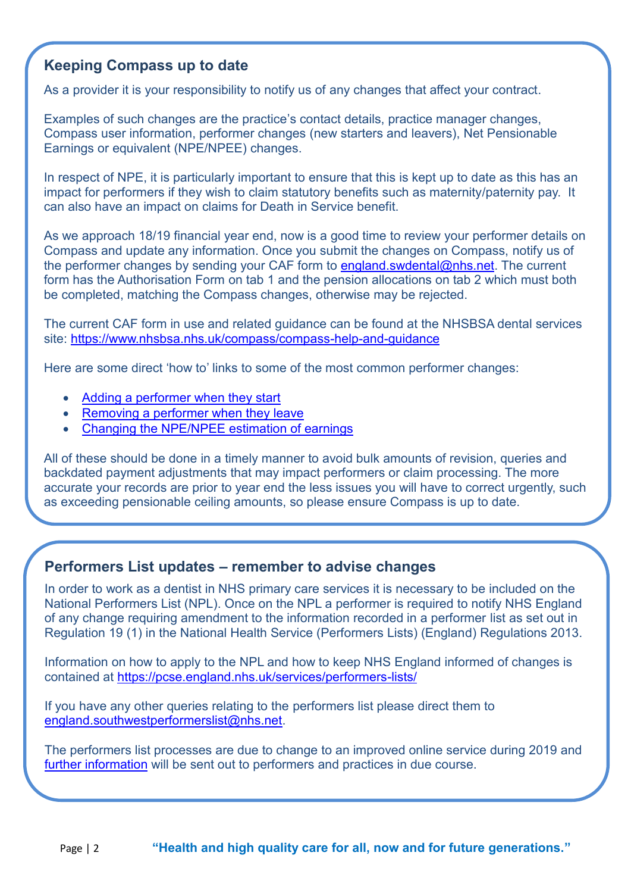#### **Keeping Compass up to date**

As a provider it is your responsibility to notify us of any changes that affect your contract.

Examples of such changes are the practice's contact details, practice manager changes, Compass user information, performer changes (new starters and leavers), Net Pensionable Earnings or equivalent (NPE/NPEE) changes.

In respect of NPE, it is particularly important to ensure that this is kept up to date as this has an impact for performers if they wish to claim statutory benefits such as maternity/paternity pay. It can also have an impact on claims for Death in Service benefit.

As we approach 18/19 financial year end, now is a good time to review your performer details on Compass and update any information. Once you submit the changes on Compass, notify us of the performer changes by sending your CAF form to [england.swdental@nhs.net.](mailto:england.swdental@nhs.net) The current form has the Authorisation Form on tab 1 and the pension allocations on tab 2 which must both be completed, matching the Compass changes, otherwise may be rejected.

The current CAF form in use and related guidance can be found at the NHSBSA dental services site:<https://www.nhsbsa.nhs.uk/compass/compass-help-and-guidance>

Here are some direct 'how to' links to some of the most common performer changes:

- [Adding a performer when they start](https://contactcentreservices.nhsbsa.nhs.uk/selfnhsukokb/AskUs_Dental/en-gb/11115/contract-management/41500/how-do-i-add-a-performer-to-a-contract)
- [Removing a performer when they leave](https://contactcentreservices.nhsbsa.nhs.uk/selfnhsukokb/AskUs_Dental/en-gb/11115/contract-management/48357/how-do-i-remove-a-performer-from-my-contract)
- [Changing the NPE/NPEE estimation of earnings](https://contactcentreservices.nhsbsa.nhs.uk/selfnhsukokb/AskUs_Dental/en-gb/9718/contract-creation-amending/37503/how-do-i-add-amend-estimated-net-pensionable-earnings-npe-net-pensionable-earnings-equivalents-npee)

All of these should be done in a timely manner to avoid bulk amounts of revision, queries and backdated payment adjustments that may impact performers or claim processing. The more accurate your records are prior to year end the less issues you will have to correct urgently, such as exceeding pensionable ceiling amounts, so please ensure Compass is up to date.

#### **Performers List updates – remember to advise changes**

In order to work as a dentist in NHS primary care services it is necessary to be included on the National Performers List (NPL). Once on the NPL a performer is required to notify NHS England of any change requiring amendment to the information recorded in a performer list as set out in Regulation 19 (1) in the National Health Service (Performers Lists) (England) Regulations 2013.

Information on how to apply to the NPL and how to keep NHS England informed of changes is contained at<https://pcse.england.nhs.uk/services/performers-lists/>

If you have any other queries relating to the performers list please direct them to [england.southwestperformerslist@nhs.net.](mailto:england.southwestperformerslist@nhs.net)

The performers list processes are due to change to an improved online service during 2019 and [further information](https://pcse.england.nhs.uk/about/what-s-changing/national-performers-lists-changes/) will be sent out to performers and practices in due course.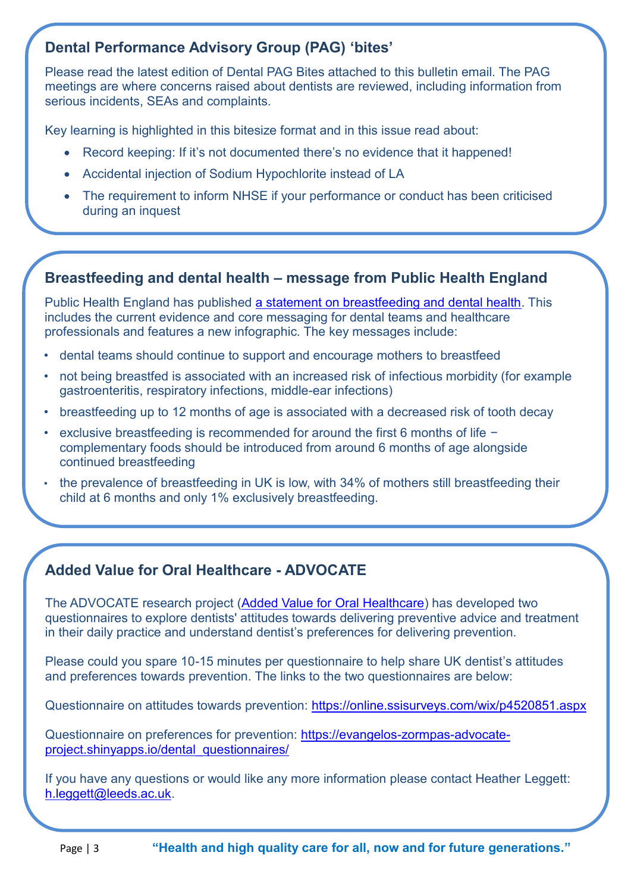#### **Dental Performance Advisory Group (PAG) 'bites'**

Please read the latest edition of Dental PAG Bites attached to this bulletin email. The PAG meetings are where concerns raised about dentists are reviewed, including information from serious incidents, SEAs and complaints.

Key learning is highlighted in this bitesize format and in this issue read about:

- Record keeping: If it's not documented there's no evidence that it happened!
- Accidental injection of Sodium Hypochlorite instead of LA
- The requirement to inform NHSE if your performance or conduct has been criticised during an inquest

#### **Breastfeeding and dental health – message from Public Health England**

Public Health England has published [a statement on breastfeeding and dental health.](https://www.gov.uk/government/publications/breastfeeding-and-dental-health) This includes the current evidence and core messaging for dental teams and healthcare professionals and features a new infographic. The key messages include:

- dental teams should continue to support and encourage mothers to breastfeed
- not being breastfed is associated with an increased risk of infectious morbidity (for example gastroenteritis, respiratory infections, middle-ear infections)
- breastfeeding up to 12 months of age is associated with a decreased risk of tooth decay
- exclusive breastfeeding is recommended for around the first 6 months of life − complementary foods should be introduced from around 6 months of age alongside continued breastfeeding
- the prevalence of breastfeeding in UK is low, with 34% of mothers still breastfeeding their child at 6 months and only 1% exclusively breastfeeding.

#### **Added Value for Oral Healthcare - ADVOCATE**

The ADVOCATE research project [\(Added Value for Oral Healthcare\)](http://www.advocateoralhealth.com/) has developed two questionnaires to explore dentists' attitudes towards delivering preventive advice and treatment in their daily practice and understand dentist's preferences for delivering prevention.

Please could you spare 10-15 minutes per questionnaire to help share UK dentist's attitudes and preferences towards prevention. The links to the two questionnaires are below:

Questionnaire on attitudes towards prevention:<https://online.ssisurveys.com/wix/p4520851.aspx>

Questionnaire on preferences for prevention: [https://evangelos-zormpas-advocate](https://evangelos-zormpas-advocate-project.shinyapps.io/dental_questionnaires/)[project.shinyapps.io/dental\\_questionnaires/](https://evangelos-zormpas-advocate-project.shinyapps.io/dental_questionnaires/)

If you have any questions or would like any more information please contact Heather Leggett: [h.leggett@leeds.ac.uk.](mailto:h.leggett@leeds.ac.uk)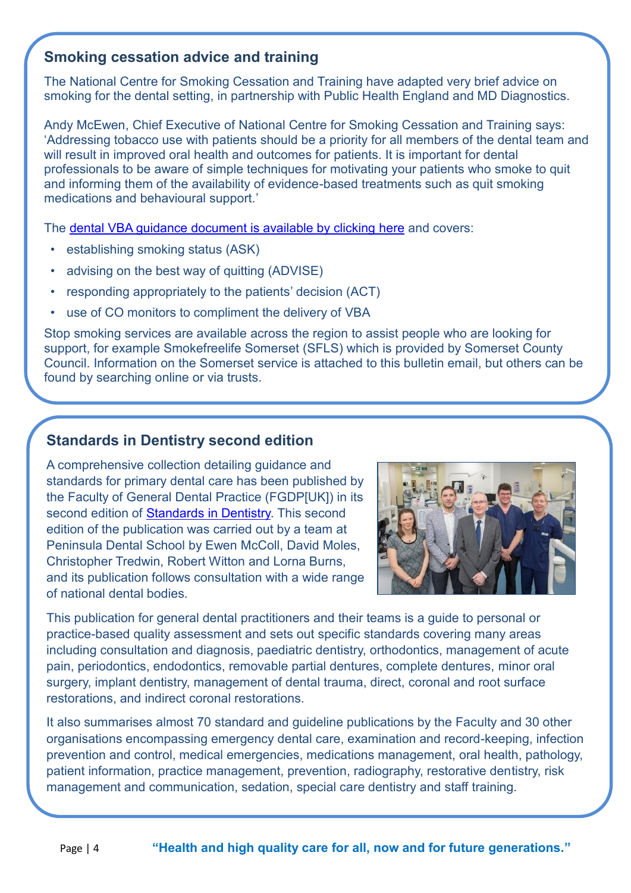#### **Smoking cessation advice and training**

The National Centre for Smoking Cessation and Training have adapted very brief advice on smoking for the dental setting, in partnership with Public Health England and MD Diagnostics.

Andy McEwen, Chief Executive of National Centre for Smoking Cessation and Training says: 'Addressing tobacco use with patients should be a priority for all members of the dental team and will result in improved oral health and outcomes for patients. It is important for dental professionals to be aware of simple techniques for motivating your patients who smoke to quit and informing them of the availability of evidence-based treatments such as quit smoking medications and behavioural support.'

The [dental VBA guidance document is available by clicking](http://www.ncsct.co.uk/publication_dental_vba.php?utm_source=Sign-Up.to&utm_medium=email&utm_campaign=27492-286595-Dental+VBA) here and covers:

- establishing smoking status (ASK)
- advising on the best way of quitting (ADVISE)
- responding appropriately to the patients' decision (ACT)
- use of CO monitors to compliment the delivery of VBA

Stop smoking services are available across the region to assist people who are looking for support, for example Smokefreelife Somerset (SFLS) which is provided by Somerset County Council. Information on the Somerset service is attached to this bulletin email, but others can be found by searching online or via trusts.

#### **Standards in Dentistry second edition**

A comprehensive collection detailing guidance and standards for primary dental care has been published by the Faculty of General Dental Practice (FGDP[UK]) in its second edition of [Standards in Dentistry.](https://www.fgdp.org.uk/guidance-standards/standards-dentistry) This second edition of the publication was carried out by a team at Peninsula Dental School by Ewen McColl, David Moles, Christopher Tredwin, Robert Witton and Lorna Burns, and its publication follows consultation with a wide range of national dental bodies.



This publication for general dental practitioners and their teams is a guide to personal or practice-based quality assessment and sets out specific standards covering many areas including consultation and diagnosis, paediatric dentistry, orthodontics, management of acute pain, periodontics, endodontics, removable partial dentures, complete dentures, minor oral surgery, implant dentistry, management of dental trauma, direct, coronal and root surface restorations, and indirect coronal restorations.

It also summarises almost 70 standard and guideline publications by the Faculty and 30 other organisations encompassing emergency dental care, examination and record-keeping, infection prevention and control, medical emergencies, medications management, oral health, pathology, patient information, practice management, prevention, radiography, restorative dentistry, risk management and communication, sedation, special care dentistry and staff training.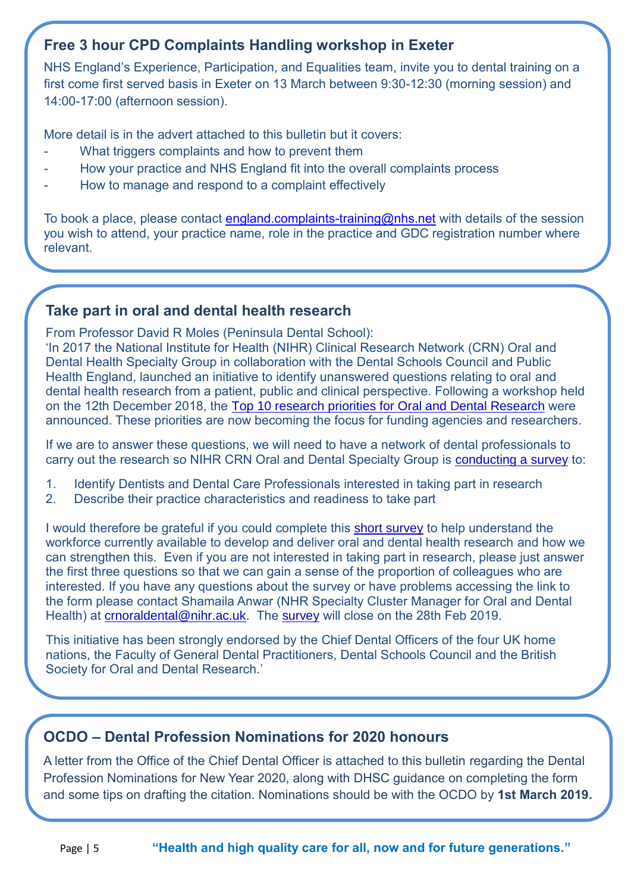#### **Free 3 hour CPD Complaints Handling workshop in Exeter**

NHS England's Experience, Participation, and Equalities team, invite you to dental training on a first come first served basis in Exeter on 13 March between 9:30-12:30 (morning session) and 14:00-17:00 (afternoon session).

More detail is in the advert attached to this bulletin but it covers:

- What triggers complaints and how to prevent them
- How your practice and NHS England fit into the overall complaints process
- How to manage and respond to a complaint effectively

To book a place, please contact [england.complaints-training@nhs.net](mailto:england.complaints-training@nhs.net) with details of the session you wish to attend, your practice name, role in the practice and GDC registration number where relevant.

#### **Take part in oral and dental health research**

From Professor David R Moles (Peninsula Dental School):

'In 2017 the National Institute for Health (NIHR) Clinical Research Network (CRN) Oral and Dental Health Specialty Group in collaboration with the Dental Schools Council and Public Health England, launched an initiative to identify unanswered questions relating to oral and dental health research from a patient, public and clinical perspective. Following a workshop held on the 12th December 2018, the [Top 10 research priorities for Oral and Dental Research](https://www.nihr.ac.uk/news/top-10-priorities-for-oral-and-dental-health-research-published/9910) were announced. These priorities are now becoming the focus for funding agencies and researchers.

If we are to answer these questions, we will need to have a network of dental professionals to carry out the research so NIHR CRN Oral and Dental Specialty Group is [conducting a survey](https://docs.google.com/forms/d/e/1FAIpQLSc0Ab-lq2E_EGOsygduOeZ6IOJFddq3TixgoDxcjP_xTzZh3Q/viewform) to:

- 1. Identify Dentists and Dental Care Professionals interested in taking part in research
- 2. Describe their practice characteristics and readiness to take part

I would therefore be grateful if you could complete this [short survey](https://docs.google.com/forms/d/e/1FAIpQLSc0Ab-lq2E_EGOsygduOeZ6IOJFddq3TixgoDxcjP_xTzZh3Q/viewform) to help understand the workforce currently available to develop and deliver oral and dental health research and how we can strengthen this. Even if you are not interested in taking part in research, please just answer the first three questions so that we can gain a sense of the proportion of colleagues who are interested. If you have any questions about the survey or have problems accessing the link to the form please contact Shamaila Anwar (NHR Specialty Cluster Manager for Oral and Dental Health) at [crnoraldental@nihr.ac.uk.](mailto:crnoraldental@nihr.ac.uk) The [survey](https://docs.google.com/forms/d/e/1FAIpQLSc0Ab-lq2E_EGOsygduOeZ6IOJFddq3TixgoDxcjP_xTzZh3Q/viewform) will close on the 28th Feb 2019.

This initiative has been strongly endorsed by the Chief Dental Officers of the four UK home nations, the Faculty of General Dental Practitioners, Dental Schools Council and the British Society for Oral and Dental Research.'

#### **OCDO – Dental Profession Nominations for 2020 honours**

A letter from the Office of the Chief Dental Officer is attached to this bulletin regarding the Dental Profession Nominations for New Year 2020, along with DHSC guidance on completing the form and some tips on drafting the citation. Nominations should be with the OCDO by **1st March 2019.**